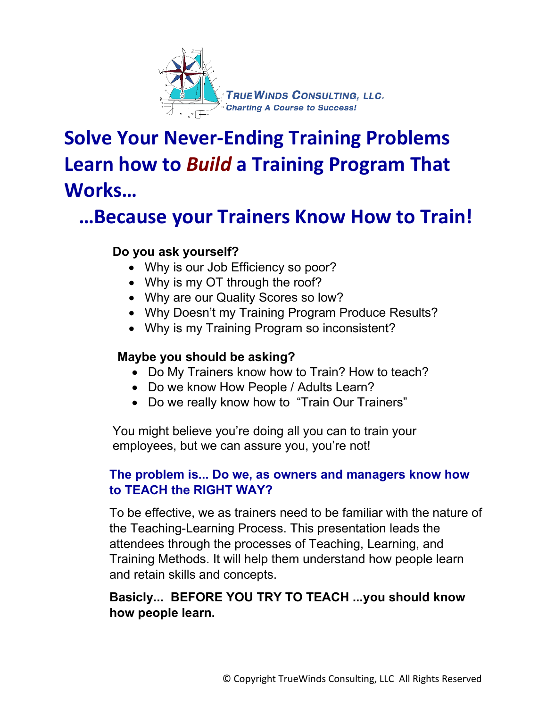

# **Solve Your Never-Ending Training Problems Learn how to** *Build* **a Training Program That Works…**

## **…Because your Trainers Know How to Train!**

#### **Do you ask yourself?**

- Why is our Job Efficiency so poor?
- Why is my OT through the roof?
- Why are our Quality Scores so low?
- Why Doesn't my Training Program Produce Results?
- Why is my Training Program so inconsistent?

#### **Maybe you should be asking?**

- Do My Trainers know how to Train? How to teach?
- Do we know How People / Adults Learn?
- Do we really know how to "Train Our Trainers"

You might believe you're doing all you can to train your employees, but we can assure you, you're not!

#### **The problem is... Do we, as owners and managers know how to TEACH the RIGHT WAY?**

To be effective, we as trainers need to be familiar with the nature of the Teaching-Learning Process. This presentation leads the attendees through the processes of Teaching, Learning, and Training Methods. It will help them understand how people learn and retain skills and concepts.

#### **Basicly... BEFORE YOU TRY TO TEACH ...you should know how people learn.**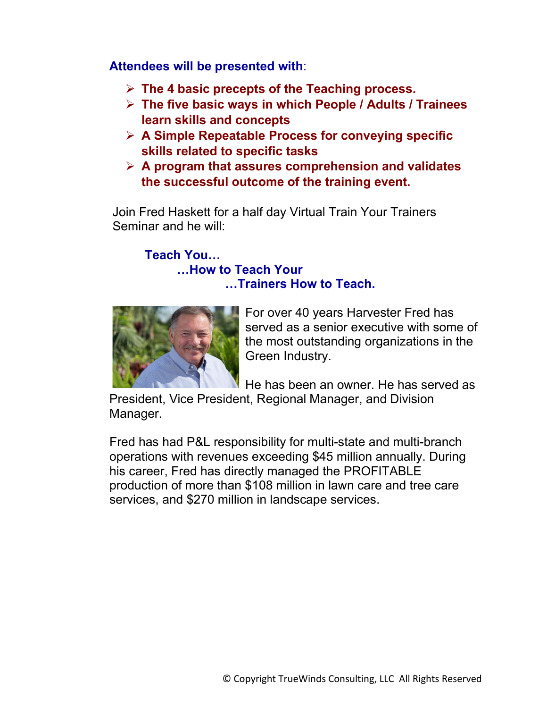**Attendees will be presented with**:

- **The 4 basic precepts of the Teaching process.**
- **The five basic ways in which People / Adults / Trainees learn skills and concepts**
- **A Simple Repeatable Process for conveying specific skills related to specific tasks**
- **A program that assures comprehension and validates the successful outcome of the training event.**

Join Fred Haskett for a half day Virtual Train Your Trainers Seminar and he will:

### **Teach You…**

**…How to Teach Your …Trainers How to Teach.** 



For over 40 years Harvester Fred has served as a senior executive with some of the most outstanding organizations in the Green Industry.

He has been an owner. He has served as

President, Vice President, Regional Manager, and Division Manager.

Fred has had P&L responsibility for multi-state and multi-branch operations with revenues exceeding \$45 million annually. During his career, Fred has directly managed the PROFITABLE production of more than \$108 million in lawn care and tree care services, and \$270 million in landscape services.